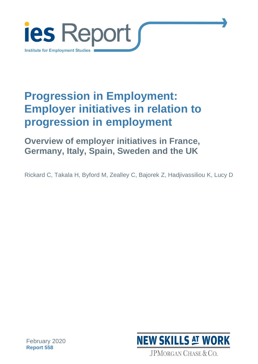

# **Progression in Employment: Employer initiatives in relation to progression in employment**

**Overview of employer initiatives in France, Germany, Italy, Spain, Sweden and the UK**

Rickard C, Takala H, Byford M, Zealley C, Bajorek Z, Hadjivassiliou K, Lucy D



February 2020 **Report 558**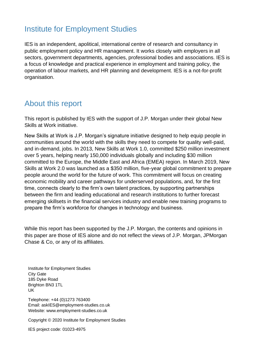### Institute for Employment Studies

IES is an independent, apolitical, international centre of research and consultancy in public employment policy and HR management. It works closely with employers in all sectors, government departments, agencies, professional bodies and associations. IES is a focus of knowledge and practical experience in employment and training policy, the operation of labour markets, and HR planning and development. IES is a not-for-profit organisation.

### About this report

This report is published by IES with the support of J.P. Morgan under their global New Skills at Work initiative.

New Skills at Work is J.P. Morgan's signature initiative designed to help equip people in communities around the world with the skills they need to compete for quality well-paid, and in-demand, jobs. In 2013, New Skills at Work 1.0, committed \$250 million investment over 5 years, helping nearly 150,000 individuals globally and including \$30 million committed to the Europe, the Middle East and Africa (EMEA) region. In March 2019, New Skills at Work 2.0 was launched as a \$350 million, five-year global commitment to prepare people around the world for the future of work. This commitment will focus on creating economic mobility and career pathways for underserved populations, and, for the first time, connects clearly to the firm's own talent practices, by supporting partnerships between the firm and leading educational and research institutions to further forecast emerging skillsets in the financial services industry and enable new training programs to prepare the firm's workforce for changes in technology and business.

While this report has been supported by the J.P. Morgan, the contents and opinions in this paper are those of IES alone and do not reflect the views of J.P. Morgan, JPMorgan Chase & Co, or any of its affiliates.

Institute for Employment Studies City Gate 185 Dyke Road Brighton BN3 1TL UK

Telephone: +44 (0)1273 763400 Email: askIES@employment-studies.co.uk Website: www.employment-studies.co.uk

Copyright © 2020 Institute for Employment Studies

IES project code: 01023-4975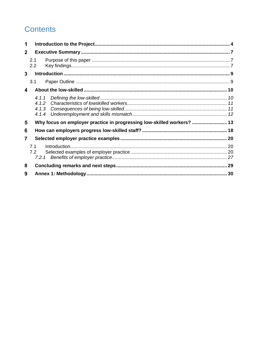### **Contents**

| 1            |                         |                                                                        |    |  |
|--------------|-------------------------|------------------------------------------------------------------------|----|--|
| $\mathbf{2}$ |                         |                                                                        |    |  |
|              | 2.1<br>2.2              |                                                                        |    |  |
| 3            |                         |                                                                        |    |  |
|              | 3.1                     |                                                                        |    |  |
| 4            |                         |                                                                        |    |  |
|              | 4.1.2<br>4.1.3<br>4.1.4 |                                                                        |    |  |
| 5            |                         | Why focus on employer practice in progressing low-skilled workers?  13 |    |  |
| 6            |                         |                                                                        |    |  |
| 7            |                         |                                                                        |    |  |
|              | 7.1<br>7.2<br>7.2.1     |                                                                        |    |  |
| 8            |                         |                                                                        |    |  |
| 9            |                         |                                                                        | 30 |  |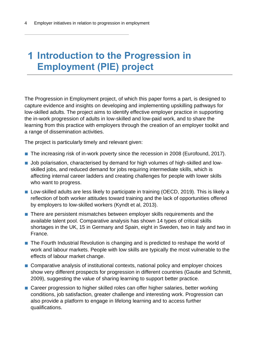## <span id="page-3-0"></span>**Introduction to the Progression in Employment (PIE) project**

The Progression in Employment project, of which this paper forms a part, is designed to capture evidence and insights on developing and implementing upskilling pathways for low-skilled adults. The project aims to identify effective employer practice in supporting the in-work progression of adults in low-skilled and low-paid work, and to share the learning from this practice with employers through the creation of an employer toolkit and a range of dissemination activities.

The project is particularly timely and relevant given:

- The increasing risk of in-work poverty since the recession in 2008 (Eurofound, 2017).
- Job polarisation, characterised by demand for high volumes of high-skilled and lowskilled jobs, and reduced demand for jobs requiring intermediate skills, which is affecting internal career ladders and creating challenges for people with lower skills who want to progress.
- Low-skilled adults are less likely to participate in training (OECD, 2019). This is likely a reflection of both worker attitudes toward training and the lack of opportunities offered by employers to low-skilled workers (Kyndt et al, 2013).
- There are persistent mismatches between employer skills requirements and the available talent pool. Comparative analysis has shown 14 types of critical skills shortages in the UK, 15 in Germany and Spain, eight in Sweden, two in Italy and two in France.
- The Fourth Industrial Revolution is changing and is predicted to reshape the world of work and labour markets. People with low skills are typically the most vulnerable to the effects of labour market change.
- Comparative analysis of institutional contexts, national policy and employer choices show very different prospects for progression in different countries (Gautie and Schmitt, 2009), suggesting the value of sharing learning to support better practice.
- Career progression to higher skilled roles can offer higher salaries, better working conditions, job satisfaction, greater challenge and interesting work. Progression can also provide a platform to engage in lifelong learning and to access further qualifications.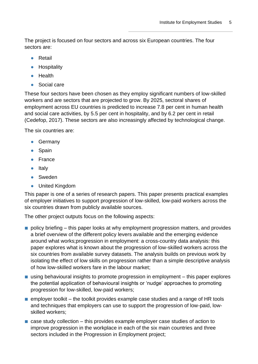The project is focused on four sectors and across six European countries. The four sectors are:

- **●** Retail
- **●** Hospitality
- **●** Health
- **●** Social care

These four sectors have been chosen as they employ significant numbers of low-skilled workers and are sectors that are projected to grow. By 2025, sectoral shares of employment across EU countries is predicted to increase 7.8 per cent in human health and social care activities, by 5.5 per cent in hospitality, and by 6.2 per cent in retail (Cedefop, 2017). These sectors are also increasingly affected by technological change.

The six countries are:

- **●** Germany
- **●** Spain
- **●** France
- **●** Italy
- **●** Sweden
- **●** United Kingdom

This paper is one of a series of research papers. This paper presents practical examples of employer initiatives to support progression of low-skilled, low-paid workers across the six countries drawn from publicly available sources.

The other project outputs focus on the following aspects:

- policy briefing this paper looks at why employment progression matters, and provides a brief overview of the different policy levers available and the emerging evidence around what works;progression in employment: a cross-country data analysis: this paper explores what is known about the progression of low-skilled workers across the six countries from available survey datasets. The analysis builds on previous work by isolating the effect of low skills on progression rather than a simple descriptive analysis of how low-skilled workers fare in the labour market;
- using behavioural insights to promote progression in employment this paper explores the potential application of behavioural insights or 'nudge' approaches to promoting progression for low-skilled, low-paid workers;
- $\blacksquare$  employer toolkit the toolkit provides example case studies and a range of HR tools and techniques that employers can use to support the progression of low-paid, lowskilled workers;
- $\blacksquare$  case study collection this provides example employer case studies of action to improve progression in the workplace in each of the six main countries and three sectors included in the Progression in Employment project;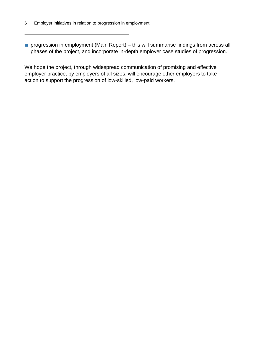■ progression in employment (Main Report) – this will summarise findings from across all phases of the project, and incorporate in-depth employer case studies of progression.

We hope the project, through widespread communication of promising and effective employer practice, by employers of all sizes, will encourage other employers to take action to support the progression of low-skilled, low-paid workers.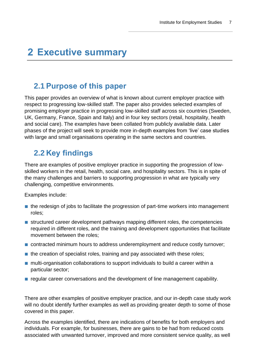## <span id="page-6-0"></span>**Executive summary**

### <span id="page-6-1"></span>**2.1 Purpose of this paper**

This paper provides an overview of what is known about current employer practice with respect to progressing low-skilled staff. The paper also provides selected examples of promising employer practice in progressing low-skilled staff across six countries (Sweden, UK, Germany, France, Spain and Italy) and in four key sectors (retail, hospitality, health and social care). The examples have been collated from publicly available data. Later phases of the project will seek to provide more in-depth examples from 'live' case studies with large and small organisations operating in the same sectors and countries.

### <span id="page-6-2"></span>**2.2 Key findings**

There are examples of positive employer practice in supporting the progression of lowskilled workers in the retail, health, social care, and hospitality sectors. This is in spite of the many challenges and barriers to supporting progression in what are typically very challenging, competitive environments.

Examples include:

- the redesign of jobs to facilitate the progression of part-time workers into management roles;
- structured career development pathways mapping different roles, the competencies required in different roles, and the training and development opportunities that facilitate movement between the roles;
- contracted minimum hours to address underemployment and reduce costly turnover;
- $\blacksquare$  the creation of specialist roles, training and pay associated with these roles;
- multi-organisation collaborations to support individuals to build a career within a particular sector;
- regular career conversations and the development of line management capability.

There are other examples of positive employer practice, and our in-depth case study work will no doubt identify further examples as well as providing greater depth to some of those covered in this paper.

Across the examples identified, there are indications of benefits for both employers and individuals. For example, for businesses, there are gains to be had from reduced costs associated with unwanted turnover, improved and more consistent service quality, as well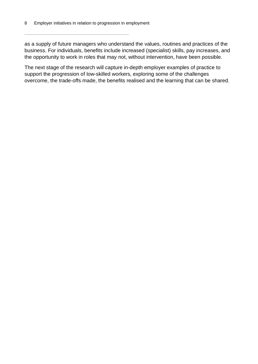as a supply of future managers who understand the values, routines and practices of the business. For individuals, benefits include increased (specialist) skills, pay increases, and the opportunity to work in roles that may not, without intervention, have been possible.

The next stage of the research will capture in-depth employer examples of practice to support the progression of low-skilled workers, exploring some of the challenges overcome, the trade-offs made, the benefits realised and the learning that can be shared.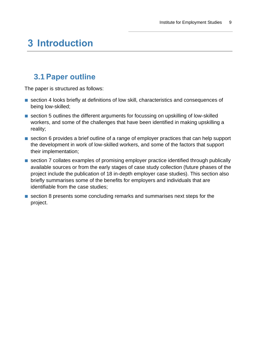## <span id="page-8-0"></span>**Introduction**

### <span id="page-8-1"></span>**3.1 Paper outline**

The paper is structured as follows:

- section 4 looks briefly at definitions of low skill, characteristics and consequences of being low-skilled;
- section 5 outlines the different arguments for focussing on upskilling of low-skilled workers, and some of the challenges that have been identified in making upskilling a reality;
- section 6 provides a brief outline of a range of employer practices that can help support the development in work of low-skilled workers, and some of the factors that support their implementation;
- section 7 collates examples of promising employer practice identified through publically available sources or from the early stages of case study collection (future phases of the project include the publication of 18 in-depth employer case studies). This section also briefly summarises some of the benefits for employers and individuals that are identifiable from the case studies;
- section 8 presents some concluding remarks and summarises next steps for the project.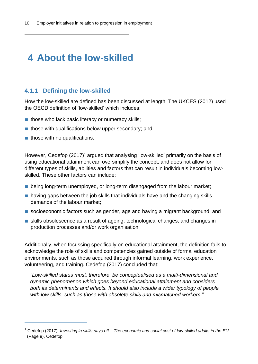## <span id="page-9-0"></span>**About the low-skilled**

#### <span id="page-9-1"></span>**4.1.1 Defining the low-skilled**

How the low-skilled are defined has been discussed at length. The UKCES (2012) used the OECD definition of 'low-skilled' which includes:

- those who lack basic literacy or numeracy skills;
- those with qualifications below upper secondary; and
- those with no qualifications.

However, Cedefop (2017)<sup>1</sup> argued that analysing 'low-skilled' primarily on the basis of using educational attainment can oversimplify the concept, and does not allow for different types of skills, abilities and factors that can result in individuals becoming lowskilled. These other factors can include:

- being long-term unemployed, or long-term disengaged from the labour market;
- having gaps between the job skills that individuals have and the changing skills demands of the labour market;
- socioeconomic factors such as gender, age and having a migrant background; and
- skills obsolescence as a result of ageing, technological changes, and changes in production processes and/or work organisation.

Additionally, when focussing specifically on educational attainment, the definition fails to acknowledge the role of skills and competencies gained outside of formal education environments, such as those acquired through informal learning, work experience, volunteering, and training. Cedefop (2017) concluded that:

*"Low-skilled status must, therefore, be conceptualised as a multi-dimensional and dynamic phenomenon which goes beyond educational attainment and considers both its determinants and effects. It should also include a wider typology of people with low skills, such as those with obsolete skills and mismatched workers."*

<sup>1</sup> Cedefop (2017), *Investing in skills pays off – The economic and social cost of low-skilled adults in the EU* (Page 9), Cedefop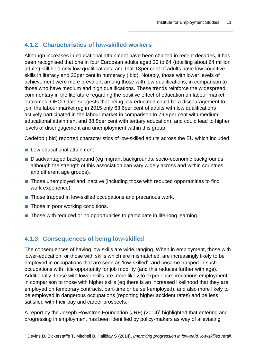#### <span id="page-10-0"></span>**4.1.2 Characteristics of low-skilled workers**

Although increases in educational attainment have been charted in recent decades, it has been recognised that one in four European adults aged 25 to 64 (totalling about 64 million adults) still held only low qualifications, and that 18per cent of adults have low cognitive skills in literacy and 20per cent in numeracy (Ibid). Notably, those with lower levels of achievement were more prevalent among those with low qualifications, in comparison to those who have medium and high qualifications. These trends reinforce the widespread commentary in the literature regarding the positive effect of education on labour market outcomes. OECD data suggests that being low-educated could be a discouragement to join the labour market (eg in 2015 only 63.6per cent of adults with low qualifications actively participated in the labour market in comparison to 79.9per cent with medium educational attainment and 88.8per cent with tertiary education), and could lead to higher levels of disengagement and unemployment within this group.

Cedefop (Ibid) reported characteristics of low-skilled adults across the EU which included:

- Low educational attainment.
- Disadvantaged background (eg migrant backgrounds, socio-economic backgrounds, although the strength of this association can vary widely across and within countries and different age groups).
- Those unemployed and inactive (including those with reduced opportunities to find work experience).
- Those trapped in low-skilled occupations and precarious work.
- Those in poor working conditions.
- Those with reduced or no opportunities to participate in life-long learning.

#### <span id="page-10-1"></span>**4.1.3 Consequences of being low-skilled**

The consequences of having low skills are wide ranging. When in employment, those with lower-education, or those with skills which are mismatched, are increasingly likely to be employed in occupations that are seen as 'low-skilled', and become trapped in such occupations with little opportunity for job mobility (and this reduces further with age). Additionally, those with lower skills are more likely to experience precarious employment in comparison to those with higher skills (eg there is an increased likelihood that they are employed on temporary contracts, part-time or be self-employed), and also more likely to be employed in dangerous occupations (reporting higher accident rates) and be less satisfied with their pay and career prospects.

A report by the Joseph Rowntree Foundation (JRF) (2014)<sup>2</sup> highlighted that entering and progressing in employment has been identified by policy-makers as way of alleviating

<sup>2</sup> Devins D, Bickerstaffe T, Mitchell B, Halliday S (2014), *Improving progression in low-paid, low-skilled retail,*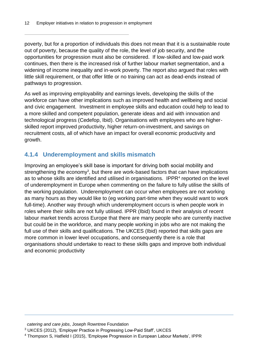poverty, but for a proportion of individuals this does not mean that it is a sustainable route out of poverty, because the quality of the role, the level of job security, and the opportunities for progression must also be considered. If low-skilled and low-paid work continues, then there is the increased risk of further labour market segmentation, and a widening of income inequality and in-work poverty. The report also argued that roles with little skill requirement, or that offer little or no training can act as dead-ends instead of pathways to progression.

As well as improving employability and earnings levels, developing the skills of the workforce can have other implications such as improved health and wellbeing and social and civic engagement. Investment in employee skills and education could help to lead to a more skilled and competent population, generate ideas and aid with innovation and technological progress (Cedefop, Ibid). Organisations with employees who are higherskilled report improved productivity, higher return-on-investment, and savings on recruitment costs, all of which have an impact for overall economic productivity and growth.

#### <span id="page-11-0"></span>**4.1.4 Underemployment and skills mismatch**

Improving an employee's skill base is important for driving both social mobility and strengthening the economy<sup>3</sup>, but there are work-based factors that can have implications as to whose skills are identified and utilised in organisations. IPPR<sup>4</sup> reported on the level of underemployment in Europe when commenting on the failure to fully utilise the skills of the working population. Underemployment can occur when employees are not working as many hours as they would like to (eg working part-time when they would want to work full-time). Another way through which underemployment occurs is when people work in roles where their skills are not fully utilised. IPPR (Ibid) found in their analysis of recent labour market trends across Europe that there are many people who are currently inactive but could be in the workforce, and many people working in jobs who are not making the full use of their skills and qualifications. The UKCES (Ibid) reported that skills gaps are more common in lower level occupations, and consequently there is a role that organisations should undertake to react to these skills gaps and improve both individual and economic productivity

*catering and care jobs*, Joseph Rowntree Foundation

<sup>3</sup> UKCES (2012), 'Employer Practice in Progressing Low-Paid Staff', UKCES

<sup>&</sup>lt;sup>4</sup> Thompson S, Hatfield I (2015), 'Employee Progression in European Labour Markets', IPPR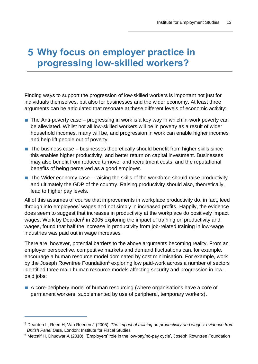## <span id="page-12-0"></span>**Why focus on employer practice in progressing low-skilled workers?**

Finding ways to support the progression of low-skilled workers is important not just for individuals themselves, but also for businesses and the wider economy. At least three arguments can be articulated that resonate at these different levels of economic activity:

- $\blacksquare$  The Anti-poverty case progressing in work is a key way in which in-work poverty can be alleviated. Whilst not all low-skilled workers will be in poverty as a result of wider household incomes, many will be, and progression in work can enable higher incomes and help lift people out of poverty.
- $\blacksquare$  The business case businesses theoretically should benefit from higher skills since this enables higher productivity, and better return on capital investment. Businesses may also benefit from reduced turnover and recruitment costs, and the reputational benefits of being perceived as a good employer.
- $\blacksquare$  The Wider economy case raising the skills of the workforce should raise productivity and ultimately the GDP of the country. Raising productivity should also, theoretically, lead to higher pay levels.

All of this assumes of course that improvements in workplace productivity do, in fact, feed through into employees' wages and not simply in increased profits. Happily, the evidence does seem to suggest that increases in productivity at the workplace do positively impact wages. Work by Dearden<sup>5</sup> in 2005 exploring the impact of training on productivity and wages, found that half the increase in productivity from job-related training in low-wage industries was paid out in wage increases.

There are, however, potential barriers to the above arguments becoming reality. From an employer perspective, competitive markets and demand fluctuations can, for example, encourage a human resource model dominated by cost minimisation. For example, work by the Joseph Rowntree Foundation<sup>6</sup> exploring low paid-work across a number of sectors identified three main human resource models affecting security and progression in lowpaid jobs:

■ A core-periphery model of human resourcing (where organisations have a core of permanent workers, supplemented by use of peripheral, temporary workers).

<sup>5</sup> Dearden L, Reed H, Van Reenen J (2005), *The impact of training on productivity and wages: evidence from British Panel Data*, London: Institute for Fiscal Studies

 $6$  Metcalf H, Dhudwar A (2010), 'Employers' role in the low-pay/no-pay cycle', Joseph Rowntree Foundation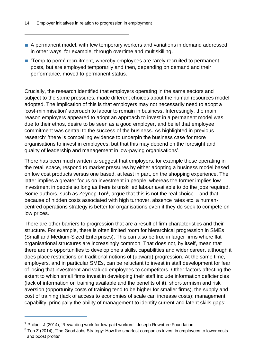- A permanent model, with few temporary workers and variations in demand addressed in other ways, for example, through overtime and multiskilling.
- 'Temp to perm' recruitment, whereby employees are rarely recruited to permanent posts, but are employed temporarily and then, depending on demand and their performance, moved to permanent status.

Crucially, the research identified that employers operating in the same sectors and subject to the same pressures, made different choices about the human resources model adopted. The implication of this is that employers may not necessarily need to adopt a 'cost-minimisation' approach to labour to remain in business. Interestingly, the main reason employers appeared to adopt an approach to invest in a permanent model was due to their ethos, desire to be seen as a good employer, and belief that employee commitment was central to the success of the business. As highlighted in previous research<sup>7</sup> 'there is compelling evidence to underpin the business case for more organisations to invest in employees, but that this may depend on the foresight and quality of leadership and management in low-paying organisations'.

There has been much written to suggest that employers, for example those operating in the retail space, respond to market pressures by either adopting a business model based on low cost products versus one based, at least in part, on the shopping experience. The latter implies a greater focus on investment in people, whereas the former implies low investment in people so long as there is unskilled labour available to do the jobs required. Some authors, such as Zeynep Ton<sup>8</sup>, argue that this is not the real choice  $-$  and that because of hidden costs associated with high turnover, absence rates etc, a humancentred operations strategy is better for organisations even if they do seek to compete on low prices.

There are other barriers to progression that are a result of firm characteristics and their structure. For example, there is often limited room for hierarchical progression in SMEs (Small and Medium-Sized Enterprises). This can also be true in larger firms where flat organisational structures are increasingly common. That does not, by itself, mean that there are no opportunities to develop one's skills, capabilities and wider career, although it does place restrictions on traditional notions of (upward) progression. At the same time, employers, and in particular SMEs, can be reluctant to invest in staff development for fear of losing that investment and valued employees to competitors. Other factors affecting the extent to which small firms invest in developing their staff include information deficiencies (lack of information on training available and the benefits of it), short-termism and risk aversion (opportunity costs of training tend to be higher for smaller firms), the supply and cost of training (lack of access to economies of scale can increase costs); management capability, principally the ability of management to identify current and latent skills gaps;

<sup>7</sup> Philpott J (2014), 'Rewarding work for low-paid workers', Joseph Rowntree Foundation

 $8$  Ton Z (2014), 'The Good Jobs Strategy: How the smartest companies invest in employees to lower costs and boost profits'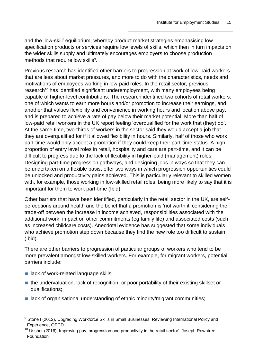and the 'low-skill' equilibrium, whereby product market strategies emphasising low specification products or services require low levels of skills, which then in turn impacts on the wider skills supply and ultimately encourages employers to choose production methods that require low skills<sup>9</sup>.

Previous research has identified other barriers to progression at work of low-paid workers that are less about market pressures, and more to do with the characteristics, needs and motivations of employees working in low-paid roles. In the retail sector, previous research<sup>10</sup> has identified significant underemployment, with many employees being capable of higher-level contributions. The research identified two cohorts of retail workers: one of which wants to earn more hours and/or promotion to increase their earnings, and another that values flexibility and convenience in working hours and location above pay, and is prepared to achieve a rate of pay below their market potential. More than half of low-paid retail workers in the UK report feeling 'overqualified for the work that (they) do'. At the same time, two-thirds of workers in the sector said they would accept a job that they are overqualified for if it allowed flexibility in hours. Similarly, half of those who work part-time would only accept a promotion if they could keep their part-time status. A high proportion of entry level roles in retail, hospitality and care are part-time, and it can be difficult to progress due to the lack of flexibility in higher-paid (management) roles. Designing part-time progression pathways, and designing jobs in ways so that they can be undertaken on a flexible basis, offer two ways in which progression opportunities could be unlocked and productivity gains achieved. This is particularly relevant to skilled women with, for example, those working in low-skilled retail roles, being more likely to say that it is important for them to work part-time (Ibid).

Other barriers that have been identified, particularly in the retail sector in the UK, are selfperceptions around health and the belief that a promotion is 'not worth it' considering the trade-off between the increase in income achieved, responsibilities associated with the additional work, impact on other commitments (eg family life) and associated costs (such as increased childcare costs). Anecdotal evidence has suggested that some individuals who achieve promotion step down because they find the new role too difficult to sustain (Ibid).

There are other barriers to progression of particular groups of workers who tend to be more prevalent amongst low-skilled workers. For example, for migrant workers, potential barriers include:

- lack of work-related language skills;
- the undervaluation, lack of recognition, or poor portability of their existing skillset or qualifications;
- lack of organisational understanding of ethnic minority/migrant communities;

<sup>&</sup>lt;sup>9</sup> Stone I (2012), Upgrading Workforce Skills in Small Businesses: Reviewing International Policy and Experience, OECD

 $10$  Ussher (2016), Improving pay, progression and productivity in the retail sector', Joseph Rowntree Foundation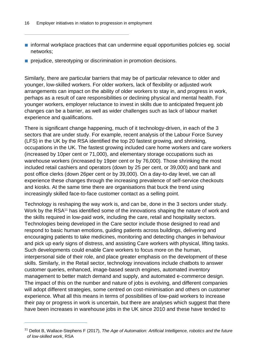- informal workplace practices that can undermine equal opportunities policies eq. social networks;
- prejudice, stereotyping or discrimination in promotion decisions.

Similarly, there are particular barriers that may be of particular relevance to older and younger, low-skilled workers. For older workers, lack of flexibility or adjusted work arrangements can impact on the ability of older workers to stay in, and progress in work, perhaps as a result of care responsibilities or declining physical and mental health. For younger workers, employer reluctance to invest in skills due to anticipated frequent job changes can be a barrier, as well as wider challenges such as lack of labour market experience and qualifications.

There is significant change happening, much of it technology-driven, in each of the 3 sectors that are under study. For example, recent analysis of the Labour Force Survey (LFS) in the UK by the RSA identified the top 20 fastest growing, and shrinking, occupations in the UK. The fastest growing included care home workers and care workers (increased by 10per cent or 71,000), and elementary storage occupations such as warehouse workers (increased by 19per cent or by 76,000). Those shrinking the most included retail cashiers and operators (down by 25 per cent, or 39,000) and bank and post office clerks (down 26per cent or by 39,000). On a day-to-day level, we can all experience these changes through the increasing prevalence of self-service checkouts and kiosks. At the same time there are organisations that buck the trend using increasingly skilled face-to-face customer contact as a selling point.

Technology is reshaping the way work is, and can be, done in the 3 sectors under study. Work by the RSA<sup>11</sup> has identified some of the innovations shaping the nature of work and the skills required in low-paid work, including the care, retail and hospitality sectors. Technologies being developed in the Care sector include those designed to read and respond to basic human emotions, guiding patients across buildings, delivering and encouraging patients to take medicines, monitoring and detecting changes in behaviour and pick up early signs of distress, and assisting Care workers with physical, lifting tasks. Such developments could enable Care workers to focus more on the human, interpersonal side of their role, and place greater emphasis on the development of these skills. Similarly, in the Retail sector, technology innovations include chatbots to answer customer queries, enhanced, image-based search engines, automated inventory management to better match demand and supply, and automated e-commerce design. The impact of this on the number and nature of jobs is evolving, and different companies will adopt different strategies, some centred on cost-minimisation and others on customer experience. What all this means in terms of possibilities of low-paid workers to increase their pay or progress in work is uncertain, but there are analyses which suggest that there have been increases in warehouse jobs in the UK since 2010 and these have tended to

<sup>11</sup> Dellot B, Wallace-Stephens F (2017), *The Age of Automation: Artificial Intelligence, robotics and the future of low-skilled work*, RSA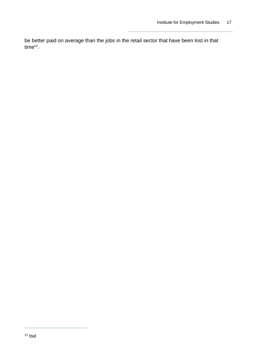be better paid on average than the jobs in the retail sector that have been lost in that time<sup>12</sup>.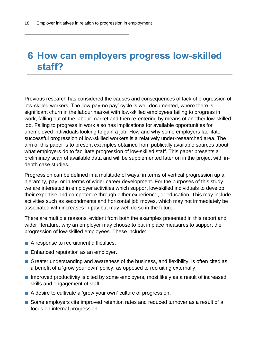## <span id="page-17-0"></span>**How can employers progress low-skilled staff?**

Previous research has considered the causes and consequences of lack of progression of low-skilled workers. The 'low pay-no pay' cycle is well documented, where there is significant churn in the labour market with low-skilled employees failing to progress in work, falling out of the labour market and then re-entering by means of another low-skilled job. Failing to progress in work also has implications for available opportunities for unemployed individuals looking to gain a job. How and why some employers facilitate successful progression of low-skilled workers is a relatively under-researched area. The aim of this paper is to present examples obtained from publically available sources about what employers do to facilitate progression of low-skilled staff. This paper presents a preliminary scan of available data and will be supplemented later on in the project with indepth case studies.

Progression can be defined in a multitude of ways, in terms of vertical progression up a hierarchy, pay, or in terms of wider career development. For the purposes of this study, we are interested in employer activities which support low-skilled individuals to develop their expertise and competence through either experience, or education. This may include activities such as secondments and horizontal job moves, which may not immediately be associated with increases in pay but may well do so in the future.

There are multiple reasons, evident from both the examples presented in this report and wider literature, why an employer may choose to put in place measures to support the progression of low-skilled employees. These include:

- A response to recruitment difficulties.
- Enhanced reputation as an employer.
- Greater understanding and awareness of the business, and flexibility, is often cited as a benefit of a 'grow your own' policy, as opposed to recruiting externally.
- Improved productivity is cited by some employers, most likely as a result of increased skills and engagement of staff.
- A desire to cultivate a 'grow your own' culture of progression.
- Some employers cite improved retention rates and reduced turnover as a result of a focus on internal progression.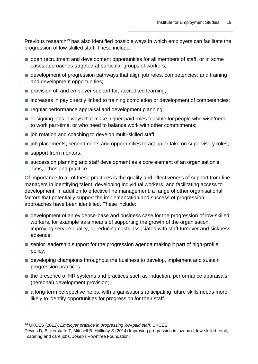Previous research<sup>13</sup> has also identified possible ways in which employers can facilitate the progression of low-skilled staff. These include:

- open recruitment and development opportunities for all members of staff, or in some cases approaches targeted at particular groups of workers;
- development of progression pathways that align job roles, competencies; and training and development opportunities;
- provision of, and employer support for, accredited learning;
- increases in pay directly linked to training completion or development of competencies;
- regular performance appraisal and development planning;
- designing jobs in ways that make higher paid roles feasible for people who wish/need to work part-time, or who need to balance work with other commitments;
- job rotation and coaching to develop multi-skilled staff
- job placements, secondments and opportunities to act up or take on supervisory roles;
- support from mentors;
- succession planning and staff development as a core element of an organisation's aims, ethos and practice.

Of importance to all of these practices is the quality and effectiveness of support from line managers in identifying talent, developing individual workers, and facilitating access to development. In addition to effective line management, a range of other organisational factors that potentially support the implementation and success of progression approaches have been identified. These include:

- development of an evidence-base and business case for the progression of low-skilled workers, for example as a means of supporting the growth of the organisation, improving service quality, or reducing costs associated with staff turnover and sickness absence;
- senior leadership support for the progression agenda making it part of high-profile policy;
- developing champions throughout the business to develop, implement and sustain progression practices;
- the presence of HR systems and practices such as induction, performance appraisals, (personal) development provision;
- a long-term perspective helps, with organisations anticipating future skills needs more likely to identify opportunities for progression for their staff.

<sup>13</sup> UKCES (2012), *Employer practice in progressing low-paid staff*. UKCES.

Devins D, Bickerstaffe T, Mitchell B, Halliday S (2014) Improving progression in low-paid, low-skilled retail, catering and care jobs. Joseph Rowntree Foundation.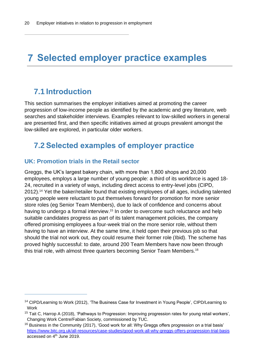## <span id="page-19-0"></span>**Selected employer practice examples**

### <span id="page-19-1"></span>**7.1 Introduction**

This section summarises the employer initiatives aimed at promoting the career progression of low-income people as identified by the academic and grey literature, web searches and stakeholder interviews. Examples relevant to low-skilled workers in general are presented first, and then specific initiatives aimed at groups prevalent amongst the low-skilled are explored, in particular older workers.

### <span id="page-19-2"></span>**7.2 Selected examples of employer practice**

#### **UK: Promotion trials in the Retail sector**

Greggs, the UK's largest bakery chain, with more than 1,800 shops and 20,000 employees, employs a large number of young people: a third of its workforce is aged 18- 24, recruited in a variety of ways, including direct access to entry-level jobs (CIPD, 2012).<sup>14</sup> Yet the baker/retailer found that existing employees of all ages, including talented young people were reluctant to put themselves forward for promotion for more senior store roles (eg Senior Team Members), due to lack of confidence and concerns about having to undergo a formal interview.<sup>15</sup> In order to overcome such reluctance and help suitable candidates progress as part of its talent management policies, the company offered promising employees a four-week trial on the more senior role, without them having to have an interview. At the same time, it held open their previous job so that should the trial not work out, they could resume their former role (Ibid). The scheme has proved highly successful: to date, around 200 Team Members have now been through this trial role, with almost three quarters becoming Senior Team Members.<sup>16</sup>

<sup>&</sup>lt;sup>14</sup> CIPD/Learning to Work (2012), 'The Business Case for Investment in Young People', CIPD/Learning to Work

<sup>&</sup>lt;sup>15</sup> Tait C, Harrop A (2018), 'Pathways to Progression: Improving progression rates for young retail workers', Changing Work Centre/Fabian Society, commissioned by TUC.

 $16$  Business in the Community (2017), 'Good work for all: Why Greggs offers progression on a trial basis' <https://www.bitc.org.uk/all-resources/case-studies/good-work-all-why-greggs-offers-progression-trial-basis> accessed on  $4<sup>th</sup>$  June 2019.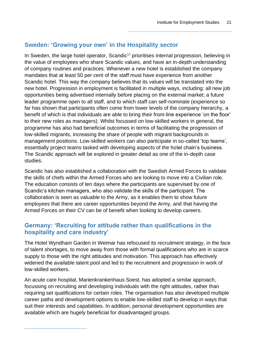#### **Sweden: 'Growing your own' in the Hospitality sector**

In Sweden, the large hotel operator, Scandic<sup>17</sup> prioritises internal progression, believing in the value of employees who share Scandic values, and have an in-depth understanding of company routines and practices. Whenever a new hotel is established the company mandates that at least 50 per cent of the staff must have experience from another Scandic hotel. This way the company believes that its values will be translated into the new hotel. Progression in employment is facilitated in multiple ways, including: all new job opportunities being advertised internally before placing on the external market; a future leader programme open to all staff, and to which staff can self-nominate (experience so far has shown that participants often come from lower levels of the company hierarchy, a benefit of which is that individuals are able to bring their front-line experience 'on the floor' to their new roles as managers). Whilst focussed on low-skilled workers in general, the programme has also had beneficial outcomes in terms of facilitating the progression of low-skilled migrants, increasing the share of people with migrant backgrounds in management positions. Low-skilled workers can also participate in so-called 'top teams', essentially project teams tasked with developing aspects of the hotel chain's business. The Scandic approach will be explored in greater detail as one of the in-depth case studies.

Scandic has also established a collaboration with the Swedish Armed Forces to validate the skills of chefs within the Armed Forces who are looking to move into a Civilian role. The education consists of ten days where the participants are supervised by one of Scandic's kitchen managers, who also validate the skills of the participant. The collaboration is seen as valuable to the Army, as it enables them to show future employees that there are career opportunities beyond the Army, and that having the Armed Forces on their CV can be of benefit when looking to develop careers.

#### **Germany: 'Recruiting for attitude rather than qualifications in the hospitality and care industry'**

The Hotel Wyndham Garden in Weimar has refocused its recruitment strategy, in the face of talent shortages, to move away from those with formal qualifications who are in scarce supply to those with the right attitudes and motivation. This approach has effectively widened the available talent pool and led to the recruitment and progression in work of low-skilled workers.

An acute care hospital, Marienkrankenhaus Soest, has adopted a similar approach, focussing on recruiting and developing individuals with the right attitudes, rather than requiring set qualifications for certain roles. The organisation has also developed multiple career paths and development options to enable low-skilled staff to develop in ways that suit their interests and capabilities. In addition, personal development opportunities are available which are hugely beneficial for disadvantaged groups.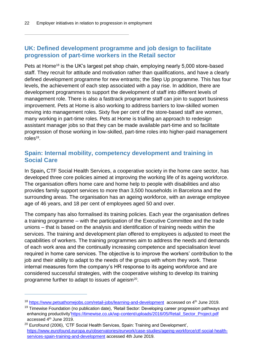#### **UK: Defined development programme and job design to facilitate progression of part-time workers in the Retail sector**

Pets at Home<sup>18</sup> is the UK's largest pet shop chain, employing nearly 5,000 store-based staff. They recruit for attitude and motivation rather than qualifications, and have a clearly defined development programme for new entrants; the Step Up programme. This has four levels, the achievement of each step associated with a pay rise. In addition, there are development programmes to support the development of staff into different levels of management role. There is also a fasttrack programme staff can join to support business improvement. Pets at Home is also working to address barriers to low-skilled women moving into management roles. Sixty five per cent of the store-based staff are women, many working in part-time roles. Pets at Home is trialling an approach to redesign assistant manager jobs so that they can be made available part-time and so facilitate progression of those working in low-skilled, part-time roles into higher-paid management roles<sup>19</sup>.

#### **Spain: Internal mobility, competency development and training in Social Care**

In Spain**,** CTF Social Health Services, a cooperative society in the home care sector, has developed three core policies aimed at improving the working life of its ageing workforce. The organisation offers home care and home help to people with disabilities and also provides family support services to more than 3,500 households in Barcelona and the surrounding areas. The organisation has an ageing workforce, with an average employee age of 46 years, and 18 per cent of employees aged 50 and over.

The company has also formalised its training policies. Each year the organisation defines a training programme – with the participation of the Executive Committee and the trade unions – that is based on the analysis and identification of training needs within the services. The training and development plan offered to employees is adjusted to meet the capabilities of workers. The training programmes aim to address the needs and demands of each work area and the continually increasing competence and specialisation level required in home care services. The objective is to improve the workers' contribution to the job and their ability to adapt to the needs of the groups with whom they work. These internal measures form the company's HR response to its ageing workforce and are considered successful strategies, with the cooperative wishing to develop its training programme further to adapt to issues of ageism $20$ .

<sup>18</sup> <https://www.petsathomejobs.com/retail-jobs/learning-and-development>accessed on 4<sup>th</sup> June 2019.

<sup>&</sup>lt;sup>19</sup> Timewise Foundation (no publication date), 'Retail Sector: Developing career progression pathways and enhancing productivity['https://timewise.co.uk/wp-content/uploads/2016/05/Retail\\_Sector\\_Project.pdf](https://timewise.co.uk/wp-content/uploads/2016/05/Retail_Sector_Project.pdf)  accessed 4<sup>th</sup> June 2019.

 $20$  Eurofound (2006), 'CTF Social Health Services, Spain: Training and Development', [https://www.eurofound.europa.eu/observatories/eurwork/case-studies/ageing-workforce/ctf-social-health](https://www.eurofound.europa.eu/observatories/eurwork/case-studies/ageing-workforce/ctf-social-health-services-spain-training-and-development)[services-spain-training-and-development](https://www.eurofound.europa.eu/observatories/eurwork/case-studies/ageing-workforce/ctf-social-health-services-spain-training-and-development) accessed 4th June 2019.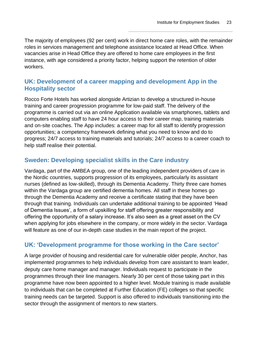The majority of employees (92 per cent) work in direct home care roles, with the remainder roles in services management and telephone assistance located at Head Office. When vacancies arise in Head Office they are offered to home care employees in the first instance, with age considered a priority factor, helping support the retention of older workers.

#### **UK: Development of a career mapping and development App in the Hospitality sector**

Rocco Forte Hotels has worked alongside Artizian to develop a structured in-house training and career progression programme for low-paid staff. The delivery of the programme is carried out via an online Application available via smartphones, tablets and computers enabling staff to have 24 hour access to their career map, training materials and on-site coaches. The App includes: a career map for all staff to identify progression opportunities; a competency framework defining what you need to know and do to progress; 24/7 access to training materials and tutorials; 24/7 access to a career coach to help staff realise their potential.

#### **Sweden: Developing specialist skills in the Care industry**

Vardaga, part of the AMBEA group, one of the leading independent providers of care in the Nordic countries, supports progression of its employees, particularly its assistant nurses (defined as low-skilled), through its Dementia Academy. Thirty three care homes within the Vardaga group are certified dementia homes. All staff in these homes go through the Dementia Academy and receive a certificate stating that they have been through that training. Individuals can undertake additional training to be appointed 'Head of Dementia Issues', a form of upskilling for staff offering greater responsibility and offering the opportunity of a salary increase. It's also seen as a great asset on the CV when applying for jobs elsewhere in the company, or more widely in the sector. Vardaga will feature as one of our in-depth case studies in the main report of the project.

#### **UK: 'Development programme for those working in the Care sector'**

A large provider of housing and residential care for vulnerable older people, Anchor, has implemented programmes to help individuals develop from care assistant to team leader, deputy care home manager and manager. Individuals request to participate in the programmes through their line managers. Nearly 30 per cent of those taking part in this programme have now been appointed to a higher level. Module training is made available to individuals that can be completed at Further Education (FE) colleges so that specific training needs can be targeted. Support is also offered to individuals transitioning into the sector through the assignment of mentors to new starters.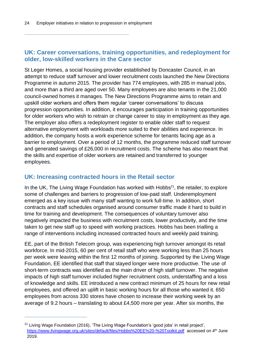#### **UK: Career conversations, training opportunities, and redeployment for older, low-skilled workers in the Care sector**

St Leger Homes, a social housing provider established by Doncaster Council, in an attempt to reduce staff turnover and lower recruitment costs launched the New Directions Programme in autumn 2015. The provider has 774 employees, with 285 in manual jobs, and more than a third are aged over 50. Many employees are also tenants in the 21,000 council-owned homes it manages. The New Directions Programme aims to retain and upskill older workers and offers them regular 'career conversations' to discuss progression opportunities. In addition, it encourages participation in training opportunities for older workers who wish to retrain or change career to stay in employment as they age. The employer also offers a redeployment register to enable older staff to request alternative employment with workloads more suited to their abilities and experience. In addition, the company hosts a work experience scheme for tenants facing age as a barrier to employment. Over a period of 12 months, the programme reduced staff turnover and generated savings of £26,000 in recruitment costs. The scheme has also meant that the skills and expertise of older workers are retained and transferred to younger employees.

#### **UK: Increasing contracted hours in the Retail sector**

In the UK, The Living Wage Foundation has worked with Hobbs $21$ , the retailer, to explore some of challenges and barriers to progression of low-paid staff. Underemployment emerged as a key issue with many staff wanting to work full-time. In addition, short contracts and staff schedules organised around consumer traffic made it hard to build in time for training and development. The consequences of voluntary turnover also negatively impacted the business with recruitment costs, lower productivity, and the time taken to get new staff up to speed with working practices. Hobbs has been trialling a range of interventions including increased contracted hours and weekly paid training.

EE, part of the British Telecom group, was experiencing high turnover amongst its retail workforce. In mid-2015, 60 per cent of retail staff who were working less than 25 hours per week were leaving within the first 12 months of joining. Supported by the Living Wage Foundation, EE identified that staff that stayed longer were more productive. The use of short-term contracts was identified as the main driver of high staff turnover. The negative impacts of high staff turnover included higher recruitment costs, understaffing and a loss of knowledge and skills. EE introduced a new contract minimum of 25 hours for new retail employees, and offered an uplift in basic working hours for all those who wanted it. 650 employees from across 330 stores have chosen to increase their working week by an average of 9.2 hours – translating to about £4,500 more per year. After six months, the

 $21$  Living Wage Foundation (2016), 'The Living Wage Foundation's 'good jobs' in retail project', <https://www.livingwage.org.uk/sites/default/files/Hobbs%20EE%20-%20Toolkit.pdf>accessed on 4<sup>th</sup> June 2019.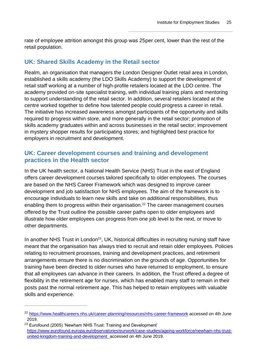rate of employee attrition amongst this group was 25per cent, lower than the rest of the retail population.

#### **UK: Shared Skills Academy in the Retail sector**

Realm, an organisation that managers the London Designer Outlet retail area in London, established a skills academy (the LDO Skills Academy) to support the development of retail staff working at a number of high-profile retailers located at the LDO centre. The academy provided on-site specialist training, with individual training plans and mentoring to support understanding of the retail sector. In addition, several retailers located at the centre worked together to define how talented people could progress a career in retail. The initiative has increased awareness amongst participants of the opportunity and skills required to progress within store, and more generally in the retail sector; promotion of skills academy graduates within and across businesses in the retail sector; improvement in mystery shopper results for participating stores; and highlighted best practice for employers in recruitment and development.

#### **UK: Career development courses and training and development practices in the Health sector**

In the UK health sector, a National Health Service (NHS) Trust in the east of England offers career development courses tailored specifically to older employees. The courses are based on the NHS Career Framework which was designed to improve career development and job satisfaction for NHS employees. The aim of the framework is to encourage individuals to learn new skills and take on additional responsibilities, thus enabling them to progress within their organisation. <sup>22</sup> The career management courses offered by the Trust outline the possible career paths open to older employees and illustrate how older employees can progress from one job level to the next, or move to other departments.

In another NHS Trust in London<sup>23</sup>, UK, historical difficulties in recruiting nursing staff have meant that the organisation has always tried to recruit and retain older employees. Policies relating to recruitment processes, training and development practices, and retirement arrangements ensure there is no discrimination on the grounds of age. Opportunities for training have been directed to older nurses who have returned to employment, to ensure that all employees can advance in their careers. In addition, the Trust offered a degree of flexibility in the retirement age for nurses, which has enabled many staff to remain in their posts past the normal retirement age. This has helped to retain employees with valuable skills and experience.

<sup>&</sup>lt;sup>22</sup> <https://www.healthcareers.nhs.uk/career-planning/resources/nhs-career-framework> accessed on 4th June 2019.

<sup>&</sup>lt;sup>23</sup> Eurofound (2005) 'Newham NHS Trust: Training and Development' [https://www.eurofound.europa.eu/observatories/eurwork/case-studies/ageing-workforce/newham-nhs-trust](https://www.eurofound.europa.eu/observatories/eurwork/case-studies/ageing-workforce/newham-nhs-trust-united-kingdom-training-and-development)[united-kingdom-training-and-development](https://www.eurofound.europa.eu/observatories/eurwork/case-studies/ageing-workforce/newham-nhs-trust-united-kingdom-training-and-development) accessed on 4th June 2019.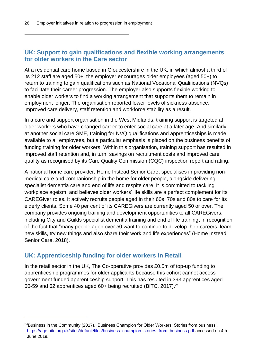#### **UK: Support to gain qualifications and flexible working arrangements for older workers in the Care sector**

At a residential care home based in Gloucestershire in the UK, in which almost a third of its 212 staff are aged 50+, the employer encourages older employees (aged 50+) to return to training to gain qualifications such as National Vocational Qualifications (NVQs) to facilitate their career progression. The employer also supports flexible working to enable older workers to find a working arrangement that supports them to remain in employment longer. The organisation reported lower levels of sickness absence, improved care delivery, staff retention and workforce stability as a result.

In a care and support organisation in the West Midlands, training support is targeted at older workers who have changed career to enter social care at a later age. And similarly at another social care SME, training for NVQ qualifications and apprenticeships is made available to all employees, but a particular emphasis is placed on the business benefits of funding training for older workers. Within this organisation, training support has resulted in improved staff retention and, in turn, savings on recruitment costs and improved care quality as recognised by its Care Quality Commission (CQC) inspection report and rating.

A national home care provider, Home Instead Senior Care, specialises in providing nonmedical care and companionship in the home for older people, alongside delivering specialist dementia care and end of life and respite care. It is committed to tackling workplace ageism, and believes older workers' life skills are a perfect complement for its CAREGiver roles. It actively recruits people aged in their 60s, 70s and 80s to care for its elderly clients. Some 40 per cent of its CAREGivers are currently aged 50 or over. The company provides ongoing training and development opportunities to all CAREGivers, including City and Guilds specialist dementia training and end of life training, in recognition of the fact that "many people aged over 50 want to continue to develop their careers, learn new skills, try new things and also share their work and life experiences" (Home Instead Senior Care, 2018).

#### **UK: Apprenticeship funding for older workers in Retail**

In the retail sector in the UK, The Co-operative provides £0.5m of top-up funding to apprenticeship programmes for older applicants because this cohort cannot access government funded apprenticeship support. This has resulted in 393 apprentices aged 50-59 and 62 apprentices aged 60+ being recruited (BITC, 2017).<sup>24</sup>

 $^{24}$ Business in the Community (2017), 'Business Champion for Older Workers: Stories from business', [https://age.bitc.org.uk/sites/default/files/business\\_champion\\_stories\\_from\\_business.pdf](https://age.bitc.org.uk/sites/default/files/business_champion_stories_from_business.pdf) accessed on 4th June 2019.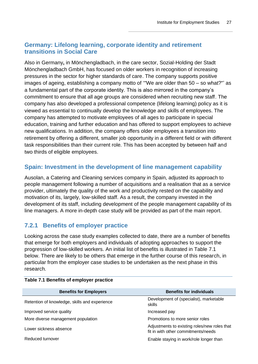#### **Germany: Lifelong learning, corporate identity and retirement transitions in Social Care**

Also in Germany**,** in Mönchengladbach, in the care sector, Sozial-Holding der Stadt Mönchengladbach GmbH, has focused on older workers in recognition of increasing pressures in the sector for higher standards of care. The company supports positive images of ageing, establishing a company motto of '"We are older than 50 – so what?"' as a fundamental part of the corporate identity. This is also mirrored in the company's commitment to ensure that all age groups are considered when recruiting new staff. The company has also developed a professional competence (lifelong learning) policy as it is viewed as essential to continually develop the knowledge and skills of employees. The company has attempted to motivate employees of all ages to participate in special education, training and further education and has offered to support employees to achieve new qualifications. In addition, the company offers older employees a transition into retirement by offering a different, smaller job opportunity in a different field or with different task responsibilities than their current role. This has been accepted by between half and two thirds of eligible employees.

#### **Spain: Investment in the development of line management capability**

Ausolan, a Catering and Cleaning services company in Spain, adjusted its approach to people management following a number of acquisitions and a realisation that as a service provider, ultimately the quality of the work and productivity rested on the capability and motivation of its, largely, low-skilled staff. As a result, the company invested in the development of its staff, including development of the people management capability of its line managers. A more in-depth case study will be provided as part of the main report.

#### <span id="page-26-0"></span>**7.2.1 Benefits of employer practice**

Looking across the case study examples collected to date, there are a number of benefits that emerge for both employers and individuals of adopting approaches to support the progression of low-skilled workers. An initial list of benefits is illustrated in Table 7.1 below. There are likely to be others that emerge in the further course of this research, in particular from the employer case studies to be undertaken as the next phase in this research.

| <b>Benefits for Employers</b>                 | <b>Benefits for individuals</b>                                                     |  |
|-----------------------------------------------|-------------------------------------------------------------------------------------|--|
| Retention of knowledge, skills and experience | Development of (specialist), marketable<br>skills                                   |  |
| Improved service quality                      | Increased pay                                                                       |  |
| More diverse management population            | Promotions to more senior roles                                                     |  |
| Lower sickness absence                        | Adjustments to existing roles/new roles that<br>fit in with other commitments/needs |  |
| Reduced turnover                              | Enable staying in work/role longer than                                             |  |

#### **Table 7.1 Benefits of employer practice**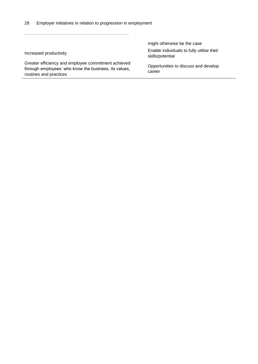Greater efficiency and employee commitment achieved through employees' who know the business, its values, routines and practices

might otherwise be the case Increased productivity Enable individuals to fully utilise their skills/potential

> Opportunities to discuss and develop career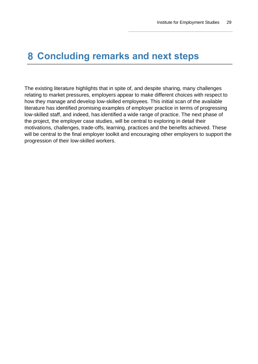### <span id="page-28-0"></span>**Concluding remarks and next steps**

The existing literature highlights that in spite of, and despite sharing, many challenges relating to market pressures, employers appear to make different choices with respect to how they manage and develop low-skilled employees. This initial scan of the available literature has identified promising examples of employer practice in terms of progressing low-skilled staff, and indeed, has identified a wide range of practice. The next phase of the project, the employer case studies, will be central to exploring in detail their motivations, challenges, trade-offs, learning, practices and the benefits achieved. These will be central to the final employer toolkit and encouraging other employers to support the progression of their low-skilled workers.